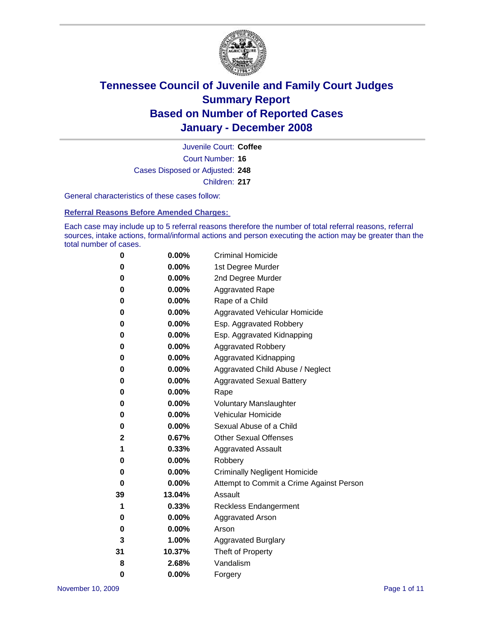

Court Number: **16** Juvenile Court: **Coffee** Cases Disposed or Adjusted: **248** Children: **217**

General characteristics of these cases follow:

**Referral Reasons Before Amended Charges:** 

Each case may include up to 5 referral reasons therefore the number of total referral reasons, referral sources, intake actions, formal/informal actions and person executing the action may be greater than the total number of cases.

| 0  | 0.00%    | <b>Criminal Homicide</b>                 |
|----|----------|------------------------------------------|
| 0  | 0.00%    | 1st Degree Murder                        |
| 0  | 0.00%    | 2nd Degree Murder                        |
| 0  | 0.00%    | <b>Aggravated Rape</b>                   |
| 0  | 0.00%    | Rape of a Child                          |
| 0  | 0.00%    | Aggravated Vehicular Homicide            |
| 0  | 0.00%    | Esp. Aggravated Robbery                  |
| 0  | 0.00%    | Esp. Aggravated Kidnapping               |
| 0  | 0.00%    | <b>Aggravated Robbery</b>                |
| 0  | 0.00%    | Aggravated Kidnapping                    |
| 0  | 0.00%    | Aggravated Child Abuse / Neglect         |
| 0  | 0.00%    | <b>Aggravated Sexual Battery</b>         |
| 0  | 0.00%    | Rape                                     |
| 0  | 0.00%    | <b>Voluntary Manslaughter</b>            |
| 0  | 0.00%    | Vehicular Homicide                       |
| 0  | $0.00\%$ | Sexual Abuse of a Child                  |
| 2  | 0.67%    | <b>Other Sexual Offenses</b>             |
| 1  | 0.33%    | <b>Aggravated Assault</b>                |
| 0  | 0.00%    | Robbery                                  |
| 0  | $0.00\%$ | <b>Criminally Negligent Homicide</b>     |
| 0  | 0.00%    | Attempt to Commit a Crime Against Person |
| 39 | 13.04%   | Assault                                  |
| 1  | 0.33%    | <b>Reckless Endangerment</b>             |
| 0  | $0.00\%$ | <b>Aggravated Arson</b>                  |
| 0  | 0.00%    | Arson                                    |
| 3  | 1.00%    | <b>Aggravated Burglary</b>               |
| 31 | 10.37%   | Theft of Property                        |
| 8  | 2.68%    | Vandalism                                |
| 0  | 0.00%    | Forgery                                  |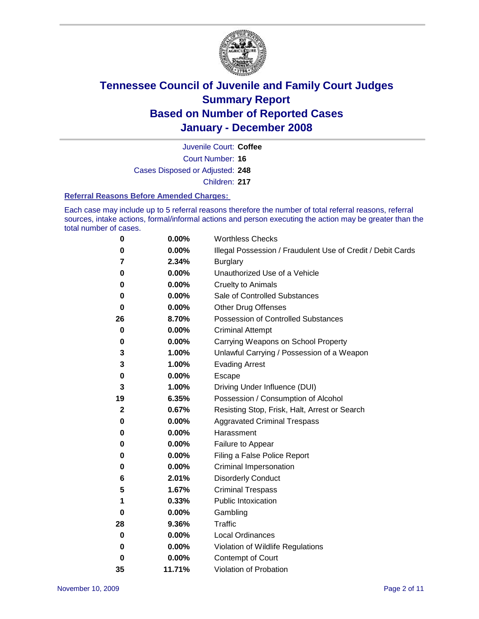

Court Number: **16** Juvenile Court: **Coffee** Cases Disposed or Adjusted: **248** Children: **217**

#### **Referral Reasons Before Amended Charges:**

Each case may include up to 5 referral reasons therefore the number of total referral reasons, referral sources, intake actions, formal/informal actions and person executing the action may be greater than the total number of cases.

| 0           | 0.00%    | <b>Worthless Checks</b>                                     |
|-------------|----------|-------------------------------------------------------------|
| 0           | 0.00%    | Illegal Possession / Fraudulent Use of Credit / Debit Cards |
| 7           | 2.34%    | <b>Burglary</b>                                             |
| 0           | $0.00\%$ | Unauthorized Use of a Vehicle                               |
| 0           | 0.00%    | <b>Cruelty to Animals</b>                                   |
| 0           | 0.00%    | Sale of Controlled Substances                               |
| 0           | 0.00%    | <b>Other Drug Offenses</b>                                  |
| 26          | 8.70%    | <b>Possession of Controlled Substances</b>                  |
| 0           | 0.00%    | <b>Criminal Attempt</b>                                     |
| 0           | 0.00%    | Carrying Weapons on School Property                         |
| 3           | 1.00%    | Unlawful Carrying / Possession of a Weapon                  |
| 3           | 1.00%    | <b>Evading Arrest</b>                                       |
| 0           | 0.00%    | Escape                                                      |
| 3           | 1.00%    | Driving Under Influence (DUI)                               |
| 19          | 6.35%    | Possession / Consumption of Alcohol                         |
| $\mathbf 2$ | 0.67%    | Resisting Stop, Frisk, Halt, Arrest or Search               |
| 0           | $0.00\%$ | <b>Aggravated Criminal Trespass</b>                         |
| 0           | 0.00%    | Harassment                                                  |
| 0           | 0.00%    | Failure to Appear                                           |
| 0           | 0.00%    | Filing a False Police Report                                |
| 0           | 0.00%    | Criminal Impersonation                                      |
| 6           | 2.01%    | <b>Disorderly Conduct</b>                                   |
| 5           | 1.67%    | <b>Criminal Trespass</b>                                    |
| 1           | 0.33%    | <b>Public Intoxication</b>                                  |
| 0           | 0.00%    | Gambling                                                    |
| 28          | 9.36%    | <b>Traffic</b>                                              |
| 0           | $0.00\%$ | <b>Local Ordinances</b>                                     |
| 0           | 0.00%    | Violation of Wildlife Regulations                           |
| 0           | 0.00%    | Contempt of Court                                           |
| 35          | 11.71%   | Violation of Probation                                      |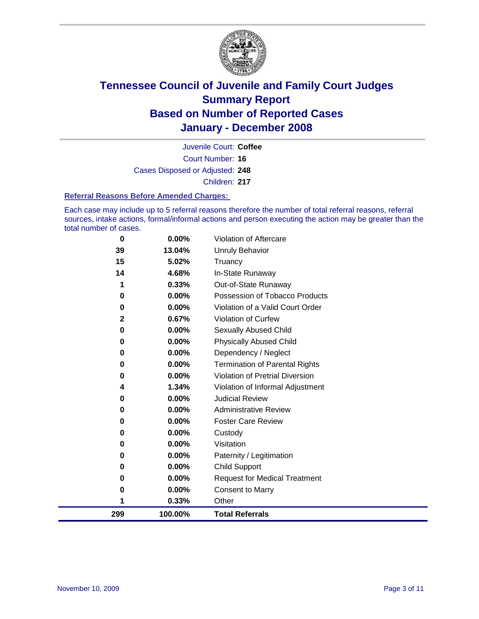

Court Number: **16** Juvenile Court: **Coffee** Cases Disposed or Adjusted: **248** Children: **217**

#### **Referral Reasons Before Amended Charges:**

Each case may include up to 5 referral reasons therefore the number of total referral reasons, referral sources, intake actions, formal/informal actions and person executing the action may be greater than the total number of cases.

| 0   | 0.00%    | Violation of Aftercare                 |
|-----|----------|----------------------------------------|
| 39  | 13.04%   | Unruly Behavior                        |
| 15  | 5.02%    | Truancy                                |
| 14  | 4.68%    | In-State Runaway                       |
| 1   | 0.33%    | Out-of-State Runaway                   |
| 0   | 0.00%    | Possession of Tobacco Products         |
| 0   | 0.00%    | Violation of a Valid Court Order       |
| 2   | 0.67%    | Violation of Curfew                    |
| 0   | $0.00\%$ | Sexually Abused Child                  |
| 0   | $0.00\%$ | <b>Physically Abused Child</b>         |
| 0   | $0.00\%$ | Dependency / Neglect                   |
| 0   | $0.00\%$ | <b>Termination of Parental Rights</b>  |
| 0   | $0.00\%$ | <b>Violation of Pretrial Diversion</b> |
| 4   | 1.34%    | Violation of Informal Adjustment       |
| 0   | 0.00%    | <b>Judicial Review</b>                 |
| 0   | 0.00%    | <b>Administrative Review</b>           |
| 0   | 0.00%    | <b>Foster Care Review</b>              |
| 0   | 0.00%    | Custody                                |
| 0   | 0.00%    | Visitation                             |
| 0   | 0.00%    | Paternity / Legitimation               |
| 0   | 0.00%    | <b>Child Support</b>                   |
| 0   | 0.00%    | <b>Request for Medical Treatment</b>   |
| 0   | 0.00%    | <b>Consent to Marry</b>                |
| 1   | 0.33%    | Other                                  |
| 299 | 100.00%  | <b>Total Referrals</b>                 |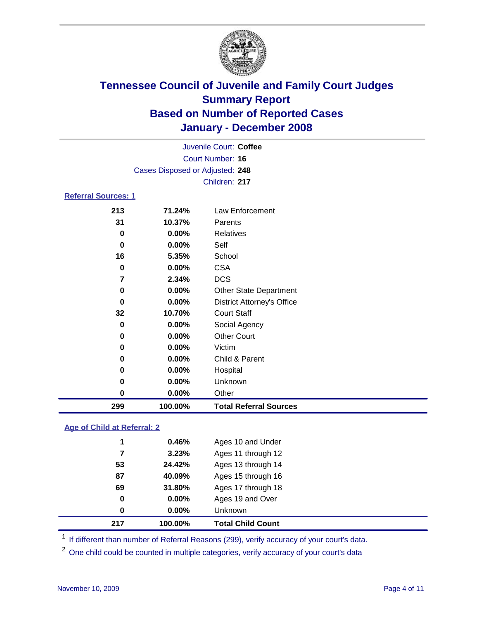

|                                 |          | Juvenile Court: Coffee            |  |  |  |
|---------------------------------|----------|-----------------------------------|--|--|--|
| Court Number: 16                |          |                                   |  |  |  |
| Cases Disposed or Adjusted: 248 |          |                                   |  |  |  |
|                                 |          | Children: 217                     |  |  |  |
| <b>Referral Sources: 1</b>      |          |                                   |  |  |  |
| 213                             | 71.24%   | Law Enforcement                   |  |  |  |
| 31                              | 10.37%   | Parents                           |  |  |  |
| 0                               | $0.00\%$ | Relatives                         |  |  |  |
| 0                               | $0.00\%$ | Self                              |  |  |  |
| 16                              | 5.35%    | School                            |  |  |  |
| 0                               | $0.00\%$ | <b>CSA</b>                        |  |  |  |
| 7                               | 2.34%    | <b>DCS</b>                        |  |  |  |
| 0                               | $0.00\%$ | <b>Other State Department</b>     |  |  |  |
| 0                               | $0.00\%$ | <b>District Attorney's Office</b> |  |  |  |
| 32                              | 10.70%   | <b>Court Staff</b>                |  |  |  |
| 0                               | $0.00\%$ | Social Agency                     |  |  |  |
| 0                               | $0.00\%$ | <b>Other Court</b>                |  |  |  |
| 0                               | 0.00%    | Victim                            |  |  |  |
| 0                               | $0.00\%$ | Child & Parent                    |  |  |  |

 **0.00%** Hospital **0.00%** Unknown **0.00%** Other **100.00% Total Referral Sources**

### **Age of Child at Referral: 2**

| 87<br>69<br>0<br>0 | 40.09%<br>31.80%<br>$0.00\%$<br>0.00% | Ages 15 through 16<br>Ages 17 through 18<br>Ages 19 and Over<br><b>Unknown</b> |
|--------------------|---------------------------------------|--------------------------------------------------------------------------------|
|                    |                                       |                                                                                |
|                    |                                       |                                                                                |
|                    |                                       |                                                                                |
|                    |                                       |                                                                                |
| 53                 | 24.42%                                | Ages 13 through 14                                                             |
| 7                  | 3.23%                                 | Ages 11 through 12                                                             |
|                    |                                       | Ages 10 and Under                                                              |
|                    |                                       | 0.46%<br>1                                                                     |

<sup>1</sup> If different than number of Referral Reasons (299), verify accuracy of your court's data.

<sup>2</sup> One child could be counted in multiple categories, verify accuracy of your court's data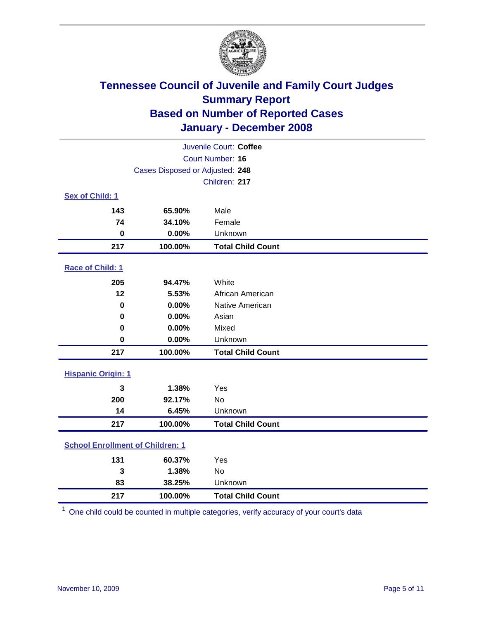

| Juvenile Court: Coffee                  |                                 |                          |  |  |  |
|-----------------------------------------|---------------------------------|--------------------------|--|--|--|
|                                         | Court Number: 16                |                          |  |  |  |
|                                         | Cases Disposed or Adjusted: 248 |                          |  |  |  |
| Children: 217                           |                                 |                          |  |  |  |
| Sex of Child: 1                         |                                 |                          |  |  |  |
| 143                                     | 65.90%                          | Male                     |  |  |  |
| 74                                      | 34.10%                          | Female                   |  |  |  |
| $\bf{0}$                                | 0.00%                           | Unknown                  |  |  |  |
| 217                                     | 100.00%                         | <b>Total Child Count</b> |  |  |  |
| <b>Race of Child: 1</b>                 |                                 |                          |  |  |  |
| 205                                     | 94.47%                          | White                    |  |  |  |
| 12                                      | 5.53%                           | African American         |  |  |  |
| 0                                       | 0.00%                           | Native American          |  |  |  |
| 0                                       | 0.00%                           | Asian                    |  |  |  |
| $\bf{0}$                                | 0.00%                           | Mixed                    |  |  |  |
| $\bf{0}$                                | 0.00%                           | Unknown                  |  |  |  |
| 217                                     | 100.00%                         | <b>Total Child Count</b> |  |  |  |
| <b>Hispanic Origin: 1</b>               |                                 |                          |  |  |  |
| 3                                       | 1.38%                           | Yes                      |  |  |  |
| 200                                     | 92.17%                          | <b>No</b>                |  |  |  |
| 14                                      | 6.45%                           | Unknown                  |  |  |  |
| 217                                     | 100.00%                         | <b>Total Child Count</b> |  |  |  |
| <b>School Enrollment of Children: 1</b> |                                 |                          |  |  |  |
| 131                                     | 60.37%                          | Yes                      |  |  |  |
| 3                                       | 1.38%                           | No                       |  |  |  |
| 83                                      | 38.25%                          | Unknown                  |  |  |  |
| 217                                     | 100.00%                         | <b>Total Child Count</b> |  |  |  |

One child could be counted in multiple categories, verify accuracy of your court's data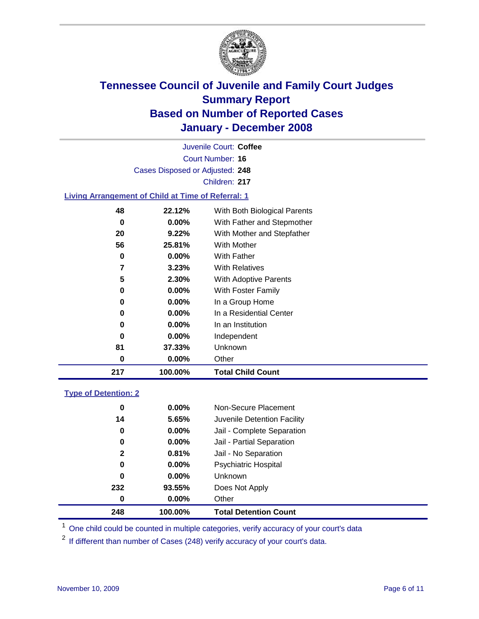

Court Number: **16** Juvenile Court: **Coffee** Cases Disposed or Adjusted: **248** Children: **217**

### **Living Arrangement of Child at Time of Referral: 1**

| 217 | 100.00%  | <b>Total Child Count</b>     |
|-----|----------|------------------------------|
| 0   | 0.00%    | Other                        |
| 81  | 37.33%   | Unknown                      |
| 0   | $0.00\%$ | Independent                  |
| 0   | $0.00\%$ | In an Institution            |
| 0   | $0.00\%$ | In a Residential Center      |
| 0   | $0.00\%$ | In a Group Home              |
| 0   | $0.00\%$ | With Foster Family           |
| 5   | 2.30%    | With Adoptive Parents        |
| 7   | $3.23\%$ | <b>With Relatives</b>        |
| 0   | $0.00\%$ | With Father                  |
| 56  | 25.81%   | <b>With Mother</b>           |
| 20  | 9.22%    | With Mother and Stepfather   |
| 0   | $0.00\%$ | With Father and Stepmother   |
| 48  | 22.12%   | With Both Biological Parents |
|     |          |                              |

#### **Type of Detention: 2**

| 248          | 100.00%  | <b>Total Detention Count</b> |  |
|--------------|----------|------------------------------|--|
| 0            | $0.00\%$ | Other                        |  |
| 232          | 93.55%   | Does Not Apply               |  |
| 0            | $0.00\%$ | <b>Unknown</b>               |  |
| 0            | $0.00\%$ | <b>Psychiatric Hospital</b>  |  |
| $\mathbf{2}$ | 0.81%    | Jail - No Separation         |  |
| 0            | $0.00\%$ | Jail - Partial Separation    |  |
| 0            | 0.00%    | Jail - Complete Separation   |  |
| 14           | 5.65%    | Juvenile Detention Facility  |  |
| 0            | $0.00\%$ | Non-Secure Placement         |  |
|              |          |                              |  |

<sup>1</sup> One child could be counted in multiple categories, verify accuracy of your court's data

<sup>2</sup> If different than number of Cases (248) verify accuracy of your court's data.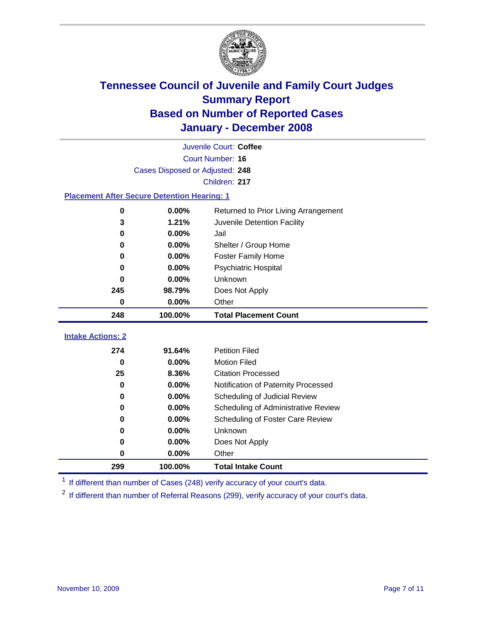

|                          | Juvenile Court: Coffee                             |                                      |  |  |  |
|--------------------------|----------------------------------------------------|--------------------------------------|--|--|--|
|                          | Court Number: 16                                   |                                      |  |  |  |
|                          | Cases Disposed or Adjusted: 248                    |                                      |  |  |  |
|                          | Children: 217                                      |                                      |  |  |  |
|                          | <b>Placement After Secure Detention Hearing: 1</b> |                                      |  |  |  |
| 0                        | 0.00%                                              | Returned to Prior Living Arrangement |  |  |  |
| 3                        | 1.21%                                              | Juvenile Detention Facility          |  |  |  |
| 0                        | 0.00%                                              | Jail                                 |  |  |  |
| 0                        | 0.00%                                              | Shelter / Group Home                 |  |  |  |
| 0                        | 0.00%                                              | <b>Foster Family Home</b>            |  |  |  |
| 0                        | 0.00%                                              | Psychiatric Hospital                 |  |  |  |
| 0                        | 0.00%                                              | Unknown                              |  |  |  |
| 245                      | 98.79%                                             | Does Not Apply                       |  |  |  |
| 0                        | 0.00%                                              | Other                                |  |  |  |
| 248                      | 100.00%                                            | <b>Total Placement Count</b>         |  |  |  |
| <b>Intake Actions: 2</b> |                                                    |                                      |  |  |  |
| 274                      | 91.64%                                             | <b>Petition Filed</b>                |  |  |  |
| $\bf{0}$                 | 0.00%                                              | <b>Motion Filed</b>                  |  |  |  |
| 25                       | 8.36%                                              | <b>Citation Processed</b>            |  |  |  |
| 0                        | 0.00%                                              | Notification of Paternity Processed  |  |  |  |
| $\bf{0}$                 | 0.00%                                              | Scheduling of Judicial Review        |  |  |  |
| $\bf{0}$                 |                                                    |                                      |  |  |  |
|                          | 0.00%                                              | Scheduling of Administrative Review  |  |  |  |
| 0                        | 0.00%                                              | Scheduling of Foster Care Review     |  |  |  |
| $\bf{0}$                 | 0.00%                                              | Unknown                              |  |  |  |
| 0                        | 0.00%                                              | Does Not Apply                       |  |  |  |
| $\bf{0}$                 | 0.00%                                              | Other                                |  |  |  |

<sup>1</sup> If different than number of Cases (248) verify accuracy of your court's data.

<sup>2</sup> If different than number of Referral Reasons (299), verify accuracy of your court's data.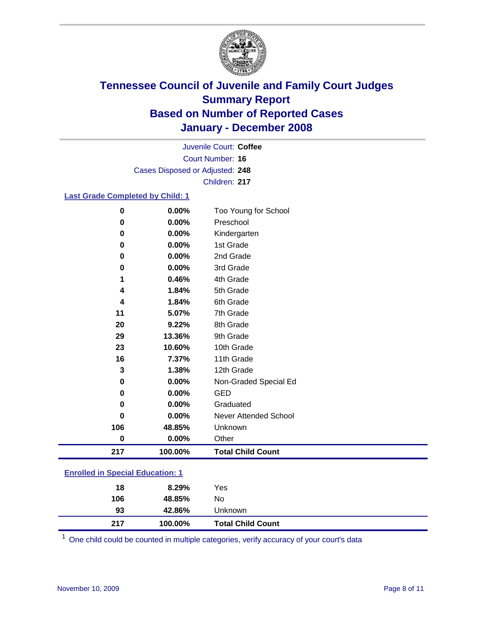

Court Number: **16** Juvenile Court: **Coffee** Cases Disposed or Adjusted: **248** Children: **217**

### **Last Grade Completed by Child: 1**

| 0        | 0.00%   | Too Young for School     |
|----------|---------|--------------------------|
| $\bf{0}$ | 0.00%   | Preschool                |
| $\bf{0}$ | 0.00%   | Kindergarten             |
| 0        | 0.00%   | 1st Grade                |
| 0        | 0.00%   | 2nd Grade                |
| $\bf{0}$ | 0.00%   | 3rd Grade                |
| 1        | 0.46%   | 4th Grade                |
| 4        | 1.84%   | 5th Grade                |
| 4        | 1.84%   | 6th Grade                |
| 11       | 5.07%   | 7th Grade                |
| 20       | 9.22%   | 8th Grade                |
| 29       | 13.36%  | 9th Grade                |
| 23       | 10.60%  | 10th Grade               |
| 16       | 7.37%   | 11th Grade               |
| 3        | 1.38%   | 12th Grade               |
| $\bf{0}$ | 0.00%   | Non-Graded Special Ed    |
| 0        | 0.00%   | <b>GED</b>               |
| $\bf{0}$ | 0.00%   | Graduated                |
| 0        | 0.00%   | Never Attended School    |
| 106      | 48.85%  | Unknown                  |
| 0        | 0.00%   | Other                    |
| 217      | 100.00% | <b>Total Child Count</b> |

### **Enrolled in Special Education: 1**

| 18  | 8.29%   | Yes                      |
|-----|---------|--------------------------|
| 106 | 48.85%  | No                       |
| 93  | 42.86%  | Unknown                  |
| 217 | 100.00% | <b>Total Child Count</b> |

One child could be counted in multiple categories, verify accuracy of your court's data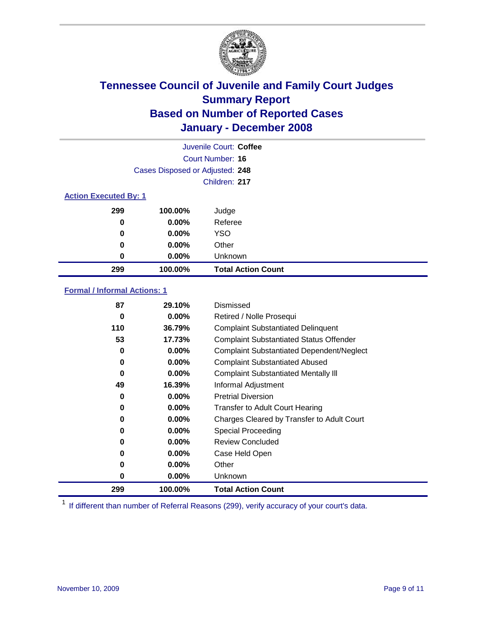

| Juvenile Court: Coffee       |                                 |                           |  |  |  |
|------------------------------|---------------------------------|---------------------------|--|--|--|
|                              | Court Number: 16                |                           |  |  |  |
|                              | Cases Disposed or Adjusted: 248 |                           |  |  |  |
|                              |                                 | Children: 217             |  |  |  |
| <b>Action Executed By: 1</b> |                                 |                           |  |  |  |
| 299                          | 100.00%                         | Judge                     |  |  |  |
| 0                            | $0.00\%$                        | Referee                   |  |  |  |
| 0                            | $0.00\%$                        | <b>YSO</b>                |  |  |  |
| 0                            | $0.00\%$                        | Other                     |  |  |  |
| 0                            | $0.00\%$                        | Unknown                   |  |  |  |
| 299                          | 100.00%                         | <b>Total Action Count</b> |  |  |  |

### **Formal / Informal Actions: 1**

| 87  | 29.10%   | Dismissed                                        |
|-----|----------|--------------------------------------------------|
| 0   | $0.00\%$ | Retired / Nolle Prosequi                         |
| 110 | 36.79%   | <b>Complaint Substantiated Delinquent</b>        |
| 53  | 17.73%   | <b>Complaint Substantiated Status Offender</b>   |
| 0   | $0.00\%$ | <b>Complaint Substantiated Dependent/Neglect</b> |
| 0   | $0.00\%$ | <b>Complaint Substantiated Abused</b>            |
| 0   | $0.00\%$ | <b>Complaint Substantiated Mentally III</b>      |
| 49  | 16.39%   | Informal Adjustment                              |
| 0   | $0.00\%$ | <b>Pretrial Diversion</b>                        |
| 0   | $0.00\%$ | <b>Transfer to Adult Court Hearing</b>           |
| 0   | $0.00\%$ | Charges Cleared by Transfer to Adult Court       |
| 0   | $0.00\%$ | Special Proceeding                               |
| 0   | $0.00\%$ | <b>Review Concluded</b>                          |
| 0   | $0.00\%$ | Case Held Open                                   |
| 0   | $0.00\%$ | Other                                            |
| 0   | $0.00\%$ | <b>Unknown</b>                                   |
| 299 | 100.00%  | <b>Total Action Count</b>                        |

<sup>1</sup> If different than number of Referral Reasons (299), verify accuracy of your court's data.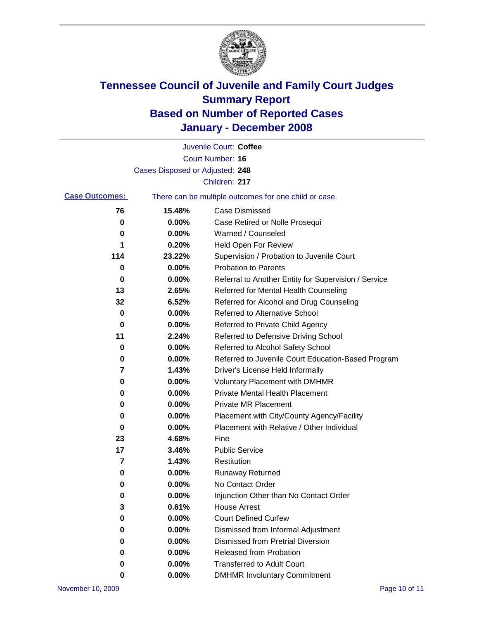

|                       |                                 | Juvenile Court: Coffee                                |
|-----------------------|---------------------------------|-------------------------------------------------------|
|                       |                                 | <b>Court Number: 16</b>                               |
|                       | Cases Disposed or Adjusted: 248 |                                                       |
|                       |                                 | Children: 217                                         |
| <b>Case Outcomes:</b> |                                 | There can be multiple outcomes for one child or case. |
| 76                    | 15.48%                          | <b>Case Dismissed</b>                                 |
| 0                     | 0.00%                           | Case Retired or Nolle Prosequi                        |
| 0                     | 0.00%                           | Warned / Counseled                                    |
| 1                     | 0.20%                           | <b>Held Open For Review</b>                           |
| 114                   | 23.22%                          | Supervision / Probation to Juvenile Court             |
| 0                     | 0.00%                           | <b>Probation to Parents</b>                           |
| 0                     | 0.00%                           | Referral to Another Entity for Supervision / Service  |
| 13                    | 2.65%                           | Referred for Mental Health Counseling                 |
| 32                    | 6.52%                           | Referred for Alcohol and Drug Counseling              |
| 0                     | 0.00%                           | <b>Referred to Alternative School</b>                 |
| 0                     | 0.00%                           | Referred to Private Child Agency                      |
| 11                    | 2.24%                           | Referred to Defensive Driving School                  |
| 0                     | 0.00%                           | Referred to Alcohol Safety School                     |
| 0                     | 0.00%                           | Referred to Juvenile Court Education-Based Program    |
| 7                     | 1.43%                           | Driver's License Held Informally                      |
| 0                     | 0.00%                           | <b>Voluntary Placement with DMHMR</b>                 |
| 0                     | 0.00%                           | <b>Private Mental Health Placement</b>                |
| 0                     | 0.00%                           | <b>Private MR Placement</b>                           |
| 0                     | 0.00%                           | Placement with City/County Agency/Facility            |
| 0                     | 0.00%                           | Placement with Relative / Other Individual            |
| 23                    | 4.68%                           | Fine                                                  |
| 17                    | 3.46%                           | <b>Public Service</b>                                 |
| 7                     | 1.43%                           | Restitution                                           |
| 0                     | 0.00%                           | <b>Runaway Returned</b>                               |
| 0                     | 0.00%                           | No Contact Order                                      |
| 0                     | 0.00%                           | Injunction Other than No Contact Order                |
| 3                     | 0.61%                           | <b>House Arrest</b>                                   |
| 0                     | 0.00%                           | <b>Court Defined Curfew</b>                           |
| 0                     | 0.00%                           | Dismissed from Informal Adjustment                    |
| 0                     | 0.00%                           | <b>Dismissed from Pretrial Diversion</b>              |
| 0                     | 0.00%                           | Released from Probation                               |
| 0                     | 0.00%                           | <b>Transferred to Adult Court</b>                     |
| 0                     | 0.00%                           | <b>DMHMR Involuntary Commitment</b>                   |